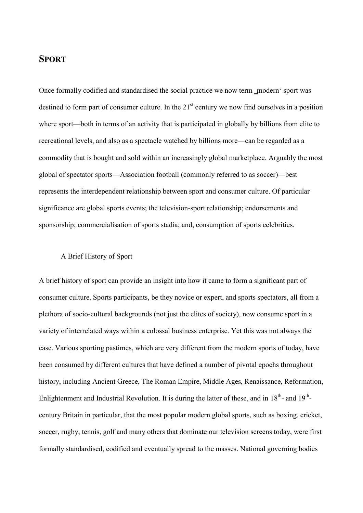# **SPORT**

Once formally codified and standardised the social practice we now term modern' sport was destined to form part of consumer culture. In the  $21<sup>st</sup>$  century we now find ourselves in a position where sport—both in terms of an activity that is participated in globally by billions from elite to recreational levels, and also as a spectacle watched by billions more—can be regarded as a commodity that is bought and sold within an increasingly global marketplace. Arguably the most global of spectator sports—Association football (commonly referred to as soccer)—best represents the interdependent relationship between sport and consumer culture. Of particular significance are global sports events; the television-sport relationship; endorsements and sponsorship; commercialisation of sports stadia; and, consumption of sports celebrities.

### A Brief History of Sport

A brief history of sport can provide an insight into how it came to form a significant part of consumer culture. Sports participants, be they novice or expert, and sports spectators, all from a plethora of socio-cultural backgrounds (not just the elites of society), now consume sport in a variety of interrelated ways within a colossal business enterprise. Yet this was not always the case. Various sporting pastimes, which are very different from the modern sports of today, have been consumed by different cultures that have defined a number of pivotal epochs throughout history, including Ancient Greece, The Roman Empire, Middle Ages, Renaissance, Reformation, Enlightenment and Industrial Revolution. It is during the latter of these, and in  $18^{th}$ - and  $19^{th}$ century Britain in particular, that the most popular modern global sports, such as boxing, cricket, soccer, rugby, tennis, golf and many others that dominate our television screens today, were first formally standardised, codified and eventually spread to the masses. National governing bodies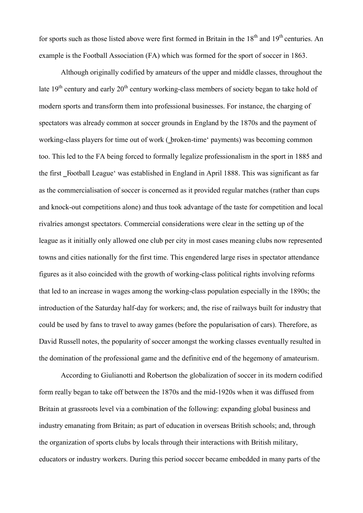for sports such as those listed above were first formed in Britain in the  $18<sup>th</sup>$  and  $19<sup>th</sup>$  centuries. An example is the Football Association (FA) which was formed for the sport of soccer in 1863.

Although originally codified by amateurs of the upper and middle classes, throughout the late  $19<sup>th</sup>$  century and early  $20<sup>th</sup>$  century working-class members of society began to take hold of modern sports and transform them into professional businesses. For instance, the charging of spectators was already common at soccer grounds in England by the 1870s and the payment of working-class players for time out of work (\_broken-time' payments) was becoming common too. This led to the FA being forced to formally legalize professionalism in the sport in 1885 and the first Football League' was established in England in April 1888. This was significant as far as the commercialisation of soccer is concerned as it provided regular matches (rather than cups and knock-out competitions alone) and thus took advantage of the taste for competition and local rivalries amongst spectators. Commercial considerations were clear in the setting up of the league as it initially only allowed one club per city in most cases meaning clubs now represented towns and cities nationally for the first time. This engendered large rises in spectator attendance figures as it also coincided with the growth of working-class political rights involving reforms that led to an increase in wages among the working-class population especially in the 1890s; the introduction of the Saturday half-day for workers; and, the rise of railways built for industry that could be used by fans to travel to away games (before the popularisation of cars). Therefore, as David Russell notes, the popularity of soccer amongst the working classes eventually resulted in the domination of the professional game and the definitive end of the hegemony of amateurism.

According to Giulianotti and Robertson the globalization of soccer in its modern codified form really began to take off between the 1870s and the mid-1920s when it was diffused from Britain at grassroots level via a combination of the following: expanding global business and industry emanating from Britain; as part of education in overseas British schools; and, through the organization of sports clubs by locals through their interactions with British military, educators or industry workers. During this period soccer became embedded in many parts of the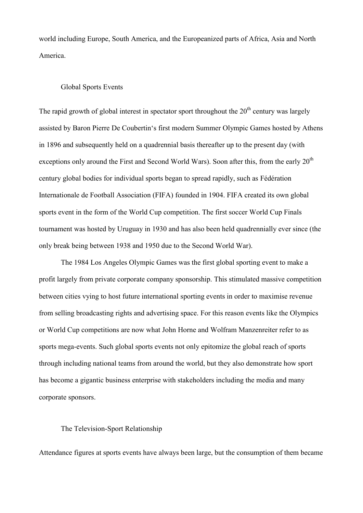world including Europe, South America, and the Europeanized parts of Africa, Asia and North America.

#### Global Sports Events

The rapid growth of global interest in spectator sport throughout the  $20<sup>th</sup>$  century was largely assisted by Baron Pierre De Coubertin's first modern Summer Olympic Games hosted by Athens in 1896 and subsequently held on a quadrennial basis thereafter up to the present day (with exceptions only around the First and Second World Wars). Soon after this, from the early  $20<sup>th</sup>$ century global bodies for individual sports began to spread rapidly, such as Fédération Internationale de Football Association (FIFA) founded in 1904. FIFA created its own global sports event in the form of the World Cup competition. The first soccer World Cup Finals tournament was hosted by Uruguay in 1930 and has also been held quadrennially ever since (the only break being between 1938 and 1950 due to the Second World War).

The 1984 Los Angeles Olympic Games was the first global sporting event to make a profit largely from private corporate company sponsorship. This stimulated massive competition between cities vying to host future international sporting events in order to maximise revenue from selling broadcasting rights and advertising space. For this reason events like the Olympics or World Cup competitions are now what John Horne and Wolfram Manzenreiter refer to as sports mega-events. Such global sports events not only epitomize the global reach of sports through including national teams from around the world, but they also demonstrate how sport has become a gigantic business enterprise with stakeholders including the media and many corporate sponsors.

#### The Television-Sport Relationship

Attendance figures at sports events have always been large, but the consumption of them became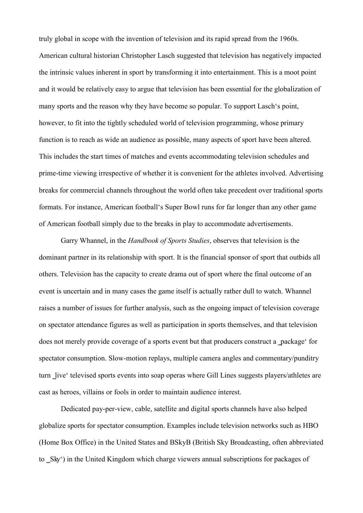truly global in scope with the invention of television and its rapid spread from the 1960s. American cultural historian Christopher Lasch suggested that television has negatively impacted the intrinsic values inherent in sport by transforming it into entertainment. This is a moot point and it would be relatively easy to argue that television has been essential for the globalization of many sports and the reason why they have become so popular. To support Lasch's point, however, to fit into the tightly scheduled world of television programming, whose primary function is to reach as wide an audience as possible, many aspects of sport have been altered. This includes the start times of matches and events accommodating television schedules and prime-time viewing irrespective of whether it is convenient for the athletes involved. Advertising breaks for commercial channels throughout the world often take precedent over traditional sports formats. For instance, American football's Super Bowl runs for far longer than any other game of American football simply due to the breaks in play to accommodate advertisements.

Garry Whannel, in the *Handbook of Sports Studies*, observes that television is the dominant partner in its relationship with sport. It is the financial sponsor of sport that outbids all others. Television has the capacity to create drama out of sport where the final outcome of an event is uncertain and in many cases the game itself is actually rather dull to watch. Whannel raises a number of issues for further analysis, such as the ongoing impact of television coverage on spectator attendance figures as well as participation in sports themselves, and that television does not merely provide coverage of a sports event but that producers construct a \_package' for spectator consumption. Slow-motion replays, multiple camera angles and commentary/punditry turn live' televised sports events into soap operas where Gill Lines suggests players/athletes are cast as heroes, villains or fools in order to maintain audience interest.

Dedicated pay-per-view, cable, satellite and digital sports channels have also helped globalize sports for spectator consumption. Examples include television networks such as HBO (Home Box Office) in the United States and BSkyB (British Sky Broadcasting, often abbreviated to Sky') in the United Kingdom which charge viewers annual subscriptions for packages of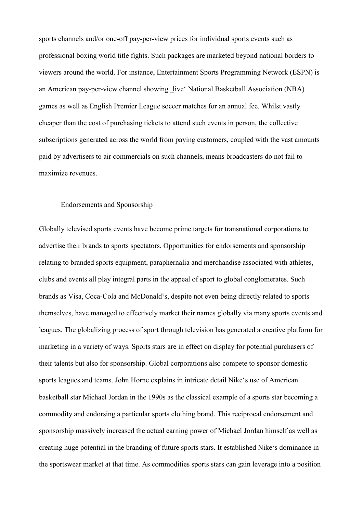sports channels and/or one-off pay-per-view prices for individual sports events such as professional boxing world title fights. Such packages are marketed beyond national borders to viewers around the world. For instance, Entertainment Sports Programming Network (ESPN) is an American pay-per-view channel showing live' National Basketball Association (NBA) games as well as English Premier League soccer matches for an annual fee. Whilst vastly cheaper than the cost of purchasing tickets to attend such events in person, the collective subscriptions generated across the world from paying customers, coupled with the vast amounts paid by advertisers to air commercials on such channels, means broadcasters do not fail to maximize revenues.

#### Endorsements and Sponsorship

Globally televised sports events have become prime targets for transnational corporations to advertise their brands to sports spectators. Opportunities for endorsements and sponsorship relating to branded sports equipment, paraphernalia and merchandise associated with athletes, clubs and events all play integral parts in the appeal of sport to global conglomerates. Such brands as Visa, Coca-Cola and McDonald's, despite not even being directly related to sports themselves, have managed to effectively market their names globally via many sports events and leagues. The globalizing process of sport through television has generated a creative platform for marketing in a variety of ways. Sports stars are in effect on display for potential purchasers of their talents but also for sponsorship. Global corporations also compete to sponsor domestic sports leagues and teams. John Horne explains in intricate detail Nike's use of American basketball star Michael Jordan in the 1990s as the classical example of a sports star becoming a commodity and endorsing a particular sports clothing brand. This reciprocal endorsement and sponsorship massively increased the actual earning power of Michael Jordan himself as well as creating huge potential in the branding of future sports stars. It established Nike's dominance in the sportswear market at that time. As commodities sports stars can gain leverage into a position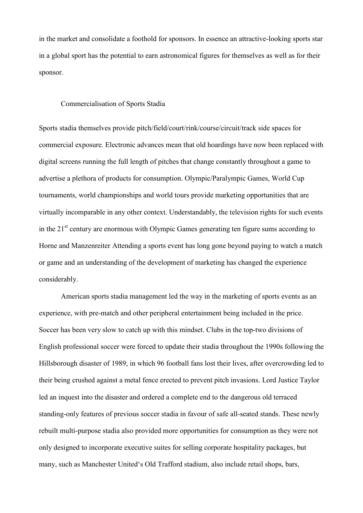in the market and consolidate a foothold for sponsors. In essence an attractive-looking sports star in a global sport has the potential to earn astronomical figures for themselves as well as for their sponsor.

#### Commercialisation of Sports Stadia

Sports stadia themselves provide pitch/field/court/rink/course/circuit/track side spaces for commercial exposure. Electronic advances mean that old hoardings have now been replaced with digital screens running the full length of pitches that change constantly throughout a game to advertise a plethora of products for consumption. Olympic/Paralympic Games, World Cup tournaments, world championships and world tours provide marketing opportunities that are virtually incomparable in any other context. Understandably, the television rights for such events in the  $21<sup>st</sup>$  century are enormous with Olympic Games generating ten figure sums according to Horne and Manzenreiter Attending a sports event has long gone beyond paying to watch a match or game and an understanding of the development of marketing has changed the experience considerably.

American sports stadia management led the way in the marketing of sports events as an experience, with pre-match and other peripheral entertainment being included in the price. Soccer has been very slow to catch up with this mindset. Clubs in the top-two divisions of English professional soccer were forced to update their stadia throughout the 1990s following the Hillsborough disaster of 1989, in which 96 football fans lost their lives, after overcrowding led to their being crushed against a metal fence erected to prevent pitch invasions. Lord Justice Taylor led an inquest into the disaster and ordered a complete end to the dangerous old terraced standing-only features of previous soccer stadia in favour of safe all-seated stands. These newly rebuilt multi-purpose stadia also provided more opportunities for consumption as they were not only designed to incorporate executive suites for selling corporate hospitality packages, but many, such as Manchester United's Old Trafford stadium, also include retail shops, bars,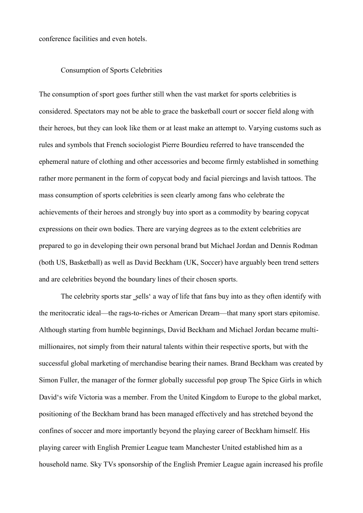conference facilities and even hotels.

## Consumption of Sports Celebrities

The consumption of sport goes further still when the vast market for sports celebrities is considered. Spectators may not be able to grace the basketball court or soccer field along with their heroes, but they can look like them or at least make an attempt to. Varying customs such as rules and symbols that French sociologist Pierre Bourdieu referred to have transcended the ephemeral nature of clothing and other accessories and become firmly established in something rather more permanent in the form of copycat body and facial piercings and lavish tattoos. The mass consumption of sports celebrities is seen clearly among fans who celebrate the achievements of their heroes and strongly buy into sport as a commodity by bearing copycat expressions on their own bodies. There are varying degrees as to the extent celebrities are prepared to go in developing their own personal brand but Michael Jordan and Dennis Rodman (both US, Basketball) as well as David Beckham (UK, Soccer) have arguably been trend setters and are celebrities beyond the boundary lines of their chosen sports.

The celebrity sports star sells' a way of life that fans buy into as they often identify with the meritocratic ideal—the rags-to-riches or American Dream—that many sport stars epitomise. Although starting from humble beginnings, David Beckham and Michael Jordan became multimillionaires, not simply from their natural talents within their respective sports, but with the successful global marketing of merchandise bearing their names. Brand Beckham was created by Simon Fuller, the manager of the former globally successful pop group The Spice Girls in which David's wife Victoria was a member. From the United Kingdom to Europe to the global market, positioning of the Beckham brand has been managed effectively and has stretched beyond the confines of soccer and more importantly beyond the playing career of Beckham himself. His playing career with English Premier League team Manchester United established him as a household name. Sky TVs sponsorship of the English Premier League again increased his profile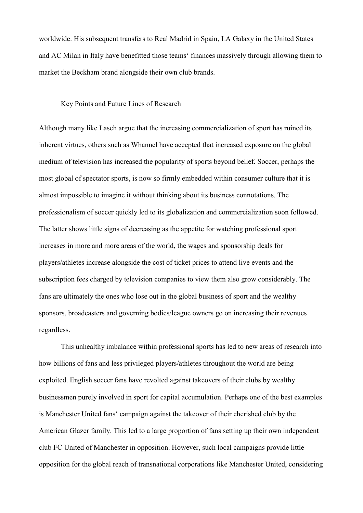worldwide. His subsequent transfers to Real Madrid in Spain, LA Galaxy in the United States and AC Milan in Italy have benefitted those teams' finances massively through allowing them to market the Beckham brand alongside their own club brands.

### Key Points and Future Lines of Research

Although many like Lasch argue that the increasing commercialization of sport has ruined its inherent virtues, others such as Whannel have accepted that increased exposure on the global medium of television has increased the popularity of sports beyond belief. Soccer, perhaps the most global of spectator sports, is now so firmly embedded within consumer culture that it is almost impossible to imagine it without thinking about its business connotations. The professionalism of soccer quickly led to its globalization and commercialization soon followed. The latter shows little signs of decreasing as the appetite for watching professional sport increases in more and more areas of the world, the wages and sponsorship deals for players/athletes increase alongside the cost of ticket prices to attend live events and the subscription fees charged by television companies to view them also grow considerably. The fans are ultimately the ones who lose out in the global business of sport and the wealthy sponsors, broadcasters and governing bodies/league owners go on increasing their revenues regardless.

This unhealthy imbalance within professional sports has led to new areas of research into how billions of fans and less privileged players/athletes throughout the world are being exploited. English soccer fans have revolted against takeovers of their clubs by wealthy businessmen purely involved in sport for capital accumulation. Perhaps one of the best examples is Manchester United fans' campaign against the takeover of their cherished club by the American Glazer family. This led to a large proportion of fans setting up their own independent club FC United of Manchester in opposition. However, such local campaigns provide little opposition for the global reach of transnational corporations like Manchester United, considering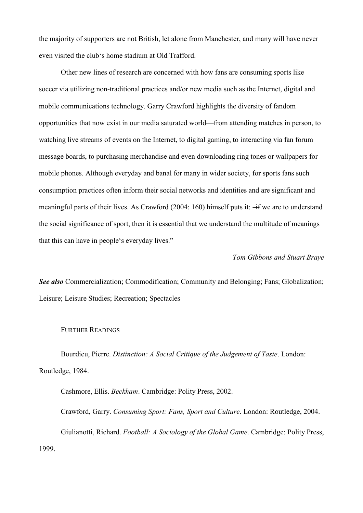the majority of supporters are not British, let alone from Manchester, and many will have never even visited the club's home stadium at Old Trafford.

Other new lines of research are concerned with how fans are consuming sports like soccer via utilizing non-traditional practices and/or new media such as the Internet, digital and mobile communications technology. Garry Crawford highlights the diversity of fandom opportunities that now exist in our media saturated world—from attending matches in person, to watching live streams of events on the Internet, to digital gaming, to interacting via fan forum message boards, to purchasing merchandise and even downloading ring tones or wallpapers for mobile phones. Although everyday and banal for many in wider society, for sports fans such consumption practices often inform their social networks and identities and are significant and meaningful parts of their lives. As Crawford (2004: 160) himself puts it:  $\div$  we are to understand the social significance of sport, then it is essential that we understand the multitude of meanings that this can have in people's everyday lives."

### *Tom Gibbons and Stuart Braye*

*See also* Commercialization; Commodification; Community and Belonging; Fans; Globalization; Leisure; Leisure Studies; Recreation; Spectacles

#### FURTHER READINGS

Bourdieu, Pierre. *Distinction: A Social Critique of the Judgement of Taste*. London: Routledge, 1984.

Cashmore, Ellis. *Beckham*. Cambridge: Polity Press, 2002. Crawford, Garry. *Consuming Sport: Fans, Sport and Culture*. London: Routledge, 2004. Giulianotti, Richard. *Football: A Sociology of the Global Game*. Cambridge: Polity Press, 1999.